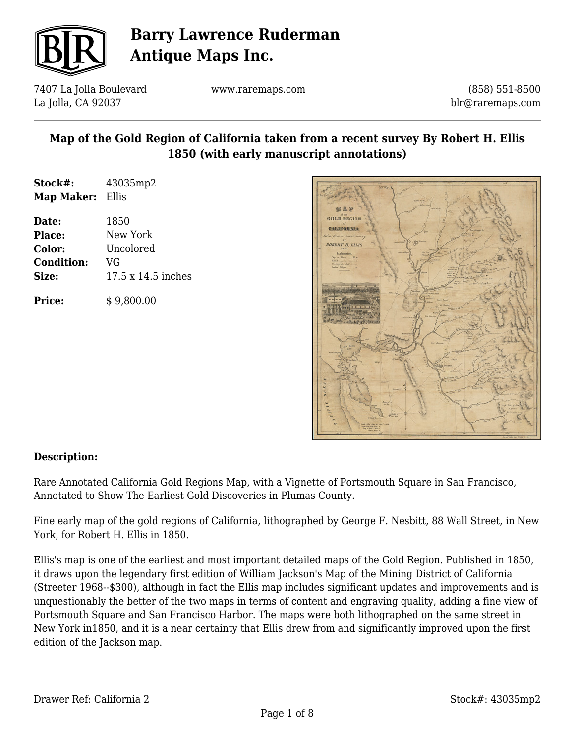

7407 La Jolla Boulevard La Jolla, CA 92037

www.raremaps.com

(858) 551-8500 blr@raremaps.com

### **Map of the Gold Region of California taken from a recent survey By Robert H. Ellis 1850 (with early manuscript annotations)**

| Stock#:    | 43035mp2 |
|------------|----------|
| Map Maker: | Ellis    |

**Date:** 1850 **Place:** New York **Color:** Uncolored **Condition:** VG **Size:** 17.5 x 14.5 inches

**Price:**  $$9,800.00$ 



#### **Description:**

Rare Annotated California Gold Regions Map, with a Vignette of Portsmouth Square in San Francisco, Annotated to Show The Earliest Gold Discoveries in Plumas County.

Fine early map of the gold regions of California, lithographed by George F. Nesbitt, 88 Wall Street, in New York, for Robert H. Ellis in 1850.

Ellis's map is one of the earliest and most important detailed maps of the Gold Region. Published in 1850, it draws upon the legendary first edition of William Jackson's Map of the Mining District of California (Streeter 1968--\$300), although in fact the Ellis map includes significant updates and improvements and is unquestionably the better of the two maps in terms of content and engraving quality, adding a fine view of Portsmouth Square and San Francisco Harbor. The maps were both lithographed on the same street in New York in1850, and it is a near certainty that Ellis drew from and significantly improved upon the first edition of the Jackson map.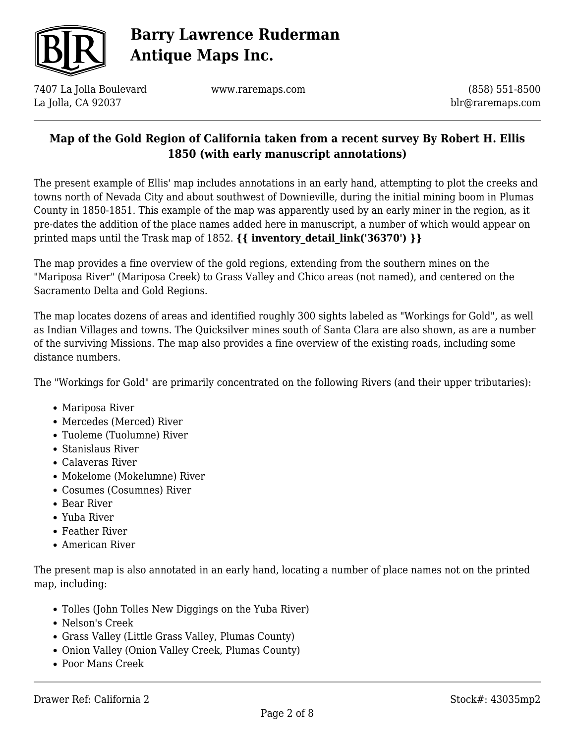

7407 La Jolla Boulevard La Jolla, CA 92037

www.raremaps.com

(858) 551-8500 blr@raremaps.com

### **Map of the Gold Region of California taken from a recent survey By Robert H. Ellis 1850 (with early manuscript annotations)**

The present example of Ellis' map includes annotations in an early hand, attempting to plot the creeks and towns north of Nevada City and about southwest of Downieville, during the initial mining boom in Plumas County in 1850-1851. This example of the map was apparently used by an early miner in the region, as it pre-dates the addition of the place names added here in manuscript, a number of which would appear on printed maps until the Trask map of 1852. **{{ inventory\_detail\_link('36370') }}**

The map provides a fine overview of the gold regions, extending from the southern mines on the "Mariposa River" (Mariposa Creek) to Grass Valley and Chico areas (not named), and centered on the Sacramento Delta and Gold Regions.

The map locates dozens of areas and identified roughly 300 sights labeled as "Workings for Gold", as well as Indian Villages and towns. The Quicksilver mines south of Santa Clara are also shown, as are a number of the surviving Missions. The map also provides a fine overview of the existing roads, including some distance numbers.

The "Workings for Gold" are primarily concentrated on the following Rivers (and their upper tributaries):

- Mariposa River
- Mercedes (Merced) River
- Tuoleme (Tuolumne) River
- Stanislaus River
- Calaveras River
- Mokelome (Mokelumne) River
- Cosumes (Cosumnes) River
- Bear River
- Yuba River
- Feather River
- American River

The present map is also annotated in an early hand, locating a number of place names not on the printed map, including:

- Tolles (John Tolles New Diggings on the Yuba River)
- Nelson's Creek
- Grass Valley (Little Grass Valley, Plumas County)
- Onion Valley (Onion Valley Creek, Plumas County)
- Poor Mans Creek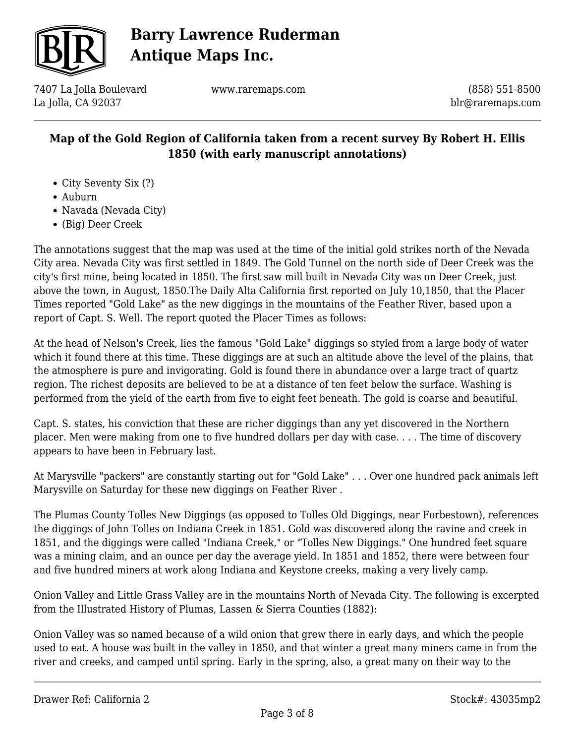

7407 La Jolla Boulevard La Jolla, CA 92037

www.raremaps.com

(858) 551-8500 blr@raremaps.com

### **Map of the Gold Region of California taken from a recent survey By Robert H. Ellis 1850 (with early manuscript annotations)**

- City Seventy Six (?)
- Auburn
- Navada (Nevada City)
- (Big) Deer Creek

The annotations suggest that the map was used at the time of the initial gold strikes north of the Nevada City area. Nevada City was first settled in 1849. The Gold Tunnel on the north side of Deer Creek was the city's first mine, being located in 1850. The first saw mill built in Nevada City was on Deer Creek, just above the town, in August, 1850.The Daily Alta California first reported on July 10,1850, that the Placer Times reported "Gold Lake" as the new diggings in the mountains of the Feather River, based upon a report of Capt. S. Well. The report quoted the Placer Times as follows:

At the head of Nelson's Creek, lies the famous "Gold Lake" diggings so styled from a large body of water which it found there at this time. These diggings are at such an altitude above the level of the plains, that the atmosphere is pure and invigorating. Gold is found there in abundance over a large tract of quartz region. The richest deposits are believed to be at a distance of ten feet below the surface. Washing is performed from the yield of the earth from five to eight feet beneath. The gold is coarse and beautiful.

Capt. S. states, his conviction that these are richer diggings than any yet discovered in the Northern placer. Men were making from one to five hundred dollars per day with case. . . . The time of discovery appears to have been in February last.

At Marysville "packers" are constantly starting out for "Gold Lake" . . . Over one hundred pack animals left Marysville on Saturday for these new diggings on Feather River .

The Plumas County Tolles New Diggings (as opposed to Tolles Old Diggings, near Forbestown), references the diggings of John Tolles on Indiana Creek in 1851. Gold was discovered along the ravine and creek in 1851, and the diggings were called "Indiana Creek," or "Tolles New Diggings." One hundred feet square was a mining claim, and an ounce per day the average yield. In 1851 and 1852, there were between four and five hundred miners at work along Indiana and Keystone creeks, making a very lively camp.

Onion Valley and Little Grass Valley are in the mountains North of Nevada City. The following is excerpted from the Illustrated History of Plumas, Lassen & Sierra Counties (1882):

Onion Valley was so named because of a wild onion that grew there in early days, and which the people used to eat. A house was built in the valley in 1850, and that winter a great many miners came in from the river and creeks, and camped until spring. Early in the spring, also, a great many on their way to the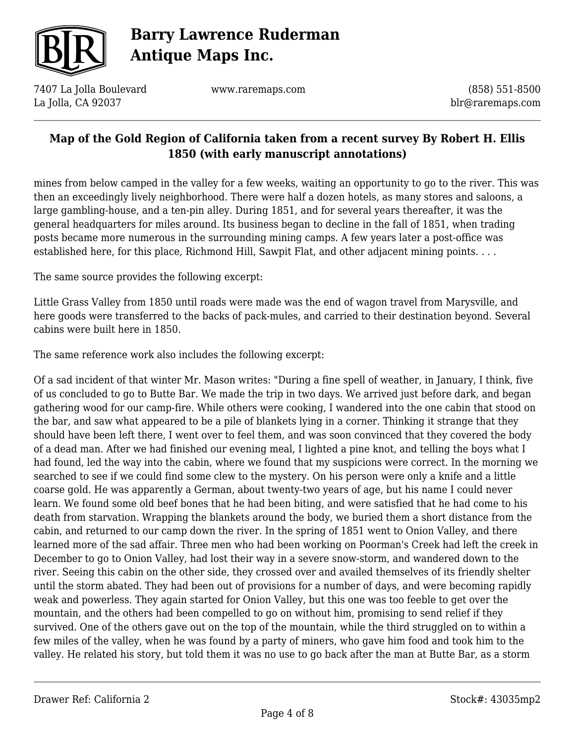

7407 La Jolla Boulevard La Jolla, CA 92037

www.raremaps.com

(858) 551-8500 blr@raremaps.com

#### **Map of the Gold Region of California taken from a recent survey By Robert H. Ellis 1850 (with early manuscript annotations)**

mines from below camped in the valley for a few weeks, waiting an opportunity to go to the river. This was then an exceedingly lively neighborhood. There were half a dozen hotels, as many stores and saloons, a large gambling-house, and a ten-pin alley. During 1851, and for several years thereafter, it was the general headquarters for miles around. Its business began to decline in the fall of 1851, when trading posts became more numerous in the surrounding mining camps. A few years later a post-office was established here, for this place, Richmond Hill, Sawpit Flat, and other adjacent mining points. . . .

The same source provides the following excerpt:

Little Grass Valley from 1850 until roads were made was the end of wagon travel from Marysville, and here goods were transferred to the backs of pack-mules, and carried to their destination beyond. Several cabins were built here in 1850.

The same reference work also includes the following excerpt:

Of a sad incident of that winter Mr. Mason writes: "During a fine spell of weather, in January, I think, five of us concluded to go to Butte Bar. We made the trip in two days. We arrived just before dark, and began gathering wood for our camp-fire. While others were cooking, I wandered into the one cabin that stood on the bar, and saw what appeared to be a pile of blankets lying in a corner. Thinking it strange that they should have been left there, I went over to feel them, and was soon convinced that they covered the body of a dead man. After we had finished our evening meal, I lighted a pine knot, and telling the boys what I had found, led the way into the cabin, where we found that my suspicions were correct. In the morning we searched to see if we could find some clew to the mystery. On his person were only a knife and a little coarse gold. He was apparently a German, about twenty-two years of age, but his name I could never learn. We found some old beef bones that he had been biting, and were satisfied that he had come to his death from starvation. Wrapping the blankets around the body, we buried them a short distance from the cabin, and returned to our camp down the river. In the spring of 1851 went to Onion Valley, and there learned more of the sad affair. Three men who had been working on Poorman's Creek had left the creek in December to go to Onion Valley, had lost their way in a severe snow-storm, and wandered down to the river. Seeing this cabin on the other side, they crossed over and availed themselves of its friendly shelter until the storm abated. They had been out of provisions for a number of days, and were becoming rapidly weak and powerless. They again started for Onion Valley, but this one was too feeble to get over the mountain, and the others had been compelled to go on without him, promising to send relief if they survived. One of the others gave out on the top of the mountain, while the third struggled on to within a few miles of the valley, when he was found by a party of miners, who gave him food and took him to the valley. He related his story, but told them it was no use to go back after the man at Butte Bar, as a storm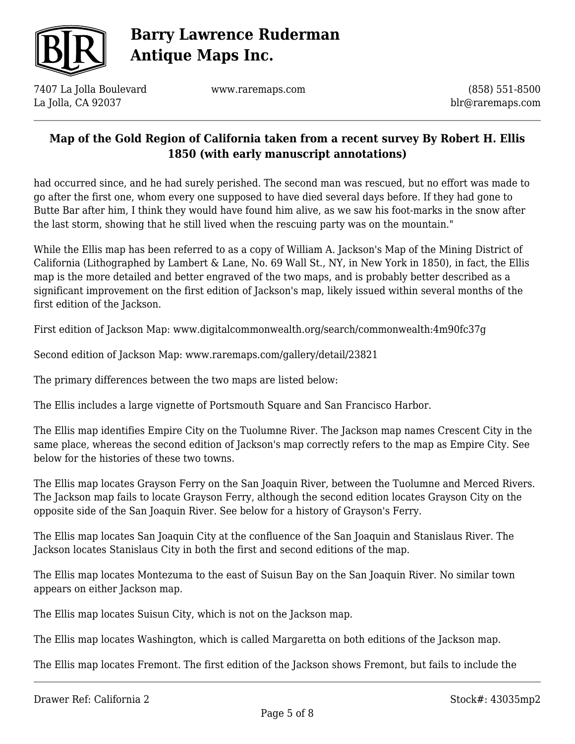

7407 La Jolla Boulevard La Jolla, CA 92037

www.raremaps.com

(858) 551-8500 blr@raremaps.com

### **Map of the Gold Region of California taken from a recent survey By Robert H. Ellis 1850 (with early manuscript annotations)**

had occurred since, and he had surely perished. The second man was rescued, but no effort was made to go after the first one, whom every one supposed to have died several days before. If they had gone to Butte Bar after him, I think they would have found him alive, as we saw his foot-marks in the snow after the last storm, showing that he still lived when the rescuing party was on the mountain."

While the Ellis map has been referred to as a copy of William A. Jackson's Map of the Mining District of California (Lithographed by Lambert & Lane, No. 69 Wall St., NY, in New York in 1850), in fact, the Ellis map is the more detailed and better engraved of the two maps, and is probably better described as a significant improvement on the first edition of Jackson's map, likely issued within several months of the first edition of the Jackson.

First edition of Jackson Map: www.digitalcommonwealth.org/search/commonwealth:4m90fc37g

Second edition of Jackson Map: www.raremaps.com/gallery/detail/23821

The primary differences between the two maps are listed below:

The Ellis includes a large vignette of Portsmouth Square and San Francisco Harbor.

The Ellis map identifies Empire City on the Tuolumne River. The Jackson map names Crescent City in the same place, whereas the second edition of Jackson's map correctly refers to the map as Empire City. See below for the histories of these two towns.

The Ellis map locates Grayson Ferry on the San Joaquin River, between the Tuolumne and Merced Rivers. The Jackson map fails to locate Grayson Ferry, although the second edition locates Grayson City on the opposite side of the San Joaquin River. See below for a history of Grayson's Ferry.

The Ellis map locates San Joaquin City at the confluence of the San Joaquin and Stanislaus River. The Jackson locates Stanislaus City in both the first and second editions of the map.

The Ellis map locates Montezuma to the east of Suisun Bay on the San Joaquin River. No similar town appears on either Jackson map.

The Ellis map locates Suisun City, which is not on the Jackson map.

The Ellis map locates Washington, which is called Margaretta on both editions of the Jackson map.

The Ellis map locates Fremont. The first edition of the Jackson shows Fremont, but fails to include the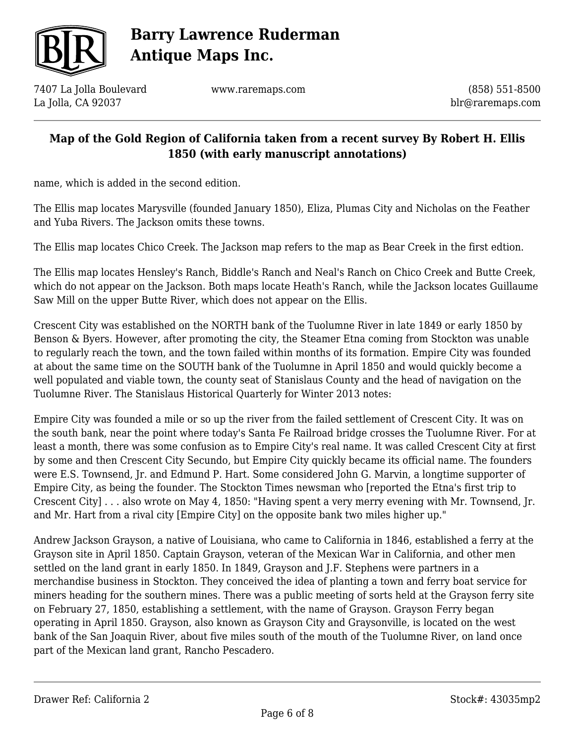

7407 La Jolla Boulevard La Jolla, CA 92037

www.raremaps.com

(858) 551-8500 blr@raremaps.com

#### **Map of the Gold Region of California taken from a recent survey By Robert H. Ellis 1850 (with early manuscript annotations)**

name, which is added in the second edition.

The Ellis map locates Marysville (founded January 1850), Eliza, Plumas City and Nicholas on the Feather and Yuba Rivers. The Jackson omits these towns.

The Ellis map locates Chico Creek. The Jackson map refers to the map as Bear Creek in the first edtion.

The Ellis map locates Hensley's Ranch, Biddle's Ranch and Neal's Ranch on Chico Creek and Butte Creek, which do not appear on the Jackson. Both maps locate Heath's Ranch, while the Jackson locates Guillaume Saw Mill on the upper Butte River, which does not appear on the Ellis.

Crescent City was established on the NORTH bank of the Tuolumne River in late 1849 or early 1850 by Benson & Byers. However, after promoting the city, the Steamer Etna coming from Stockton was unable to regularly reach the town, and the town failed within months of its formation. Empire City was founded at about the same time on the SOUTH bank of the Tuolumne in April 1850 and would quickly become a well populated and viable town, the county seat of Stanislaus County and the head of navigation on the Tuolumne River. The Stanislaus Historical Quarterly for Winter 2013 notes:

Empire City was founded a mile or so up the river from the failed settlement of Crescent City. It was on the south bank, near the point where today's Santa Fe Railroad bridge crosses the Tuolumne River. For at least a month, there was some confusion as to Empire City's real name. It was called Crescent City at first by some and then Crescent City Secundo, but Empire City quickly became its official name. The founders were E.S. Townsend, Jr. and Edmund P. Hart. Some considered John G. Marvin, a longtime supporter of Empire City, as being the founder. The Stockton Times newsman who [reported the Etna's first trip to Crescent City] . . . also wrote on May 4, 1850: "Having spent a very merry evening with Mr. Townsend, Jr. and Mr. Hart from a rival city [Empire City] on the opposite bank two miles higher up."

Andrew Jackson Grayson, a native of Louisiana, who came to California in 1846, established a ferry at the Grayson site in April 1850. Captain Grayson, veteran of the Mexican War in California, and other men settled on the land grant in early 1850. In 1849, Grayson and J.F. Stephens were partners in a merchandise business in Stockton. They conceived the idea of planting a town and ferry boat service for miners heading for the southern mines. There was a public meeting of sorts held at the Grayson ferry site on February 27, 1850, establishing a settlement, with the name of Grayson. Grayson Ferry began operating in April 1850. Grayson, also known as Grayson City and Graysonville, is located on the west bank of the San Joaquin River, about five miles south of the mouth of the Tuolumne River, on land once part of the Mexican land grant, Rancho Pescadero.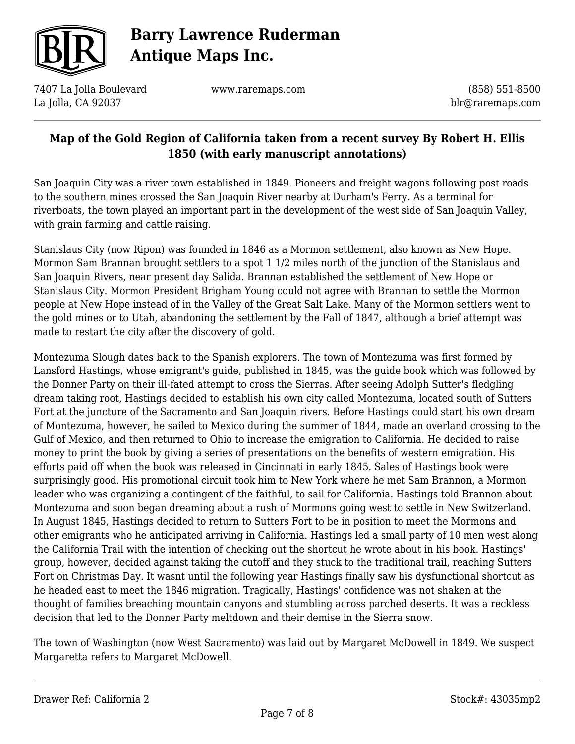

7407 La Jolla Boulevard La Jolla, CA 92037

www.raremaps.com

(858) 551-8500 blr@raremaps.com

### **Map of the Gold Region of California taken from a recent survey By Robert H. Ellis 1850 (with early manuscript annotations)**

San Joaquin City was a river town established in 1849. Pioneers and freight wagons following post roads to the southern mines crossed the San Joaquin River nearby at Durham's Ferry. As a terminal for riverboats, the town played an important part in the development of the west side of San Joaquin Valley, with grain farming and cattle raising.

Stanislaus City (now Ripon) was founded in 1846 as a Mormon settlement, also known as New Hope. Mormon Sam Brannan brought settlers to a spot 1 1/2 miles north of the junction of the Stanislaus and San Joaquin Rivers, near present day Salida. Brannan established the settlement of New Hope or Stanislaus City. Mormon President Brigham Young could not agree with Brannan to settle the Mormon people at New Hope instead of in the Valley of the Great Salt Lake. Many of the Mormon settlers went to the gold mines or to Utah, abandoning the settlement by the Fall of 1847, although a brief attempt was made to restart the city after the discovery of gold.

Montezuma Slough dates back to the Spanish explorers. The town of Montezuma was first formed by Lansford Hastings, whose emigrant's guide, published in 1845, was the guide book which was followed by the Donner Party on their ill-fated attempt to cross the Sierras. After seeing Adolph Sutter's fledgling dream taking root, Hastings decided to establish his own city called Montezuma, located south of Sutters Fort at the juncture of the Sacramento and San Joaquin rivers. Before Hastings could start his own dream of Montezuma, however, he sailed to Mexico during the summer of 1844, made an overland crossing to the Gulf of Mexico, and then returned to Ohio to increase the emigration to California. He decided to raise money to print the book by giving a series of presentations on the benefits of western emigration. His efforts paid off when the book was released in Cincinnati in early 1845. Sales of Hastings book were surprisingly good. His promotional circuit took him to New York where he met Sam Brannon, a Mormon leader who was organizing a contingent of the faithful, to sail for California. Hastings told Brannon about Montezuma and soon began dreaming about a rush of Mormons going west to settle in New Switzerland. In August 1845, Hastings decided to return to Sutters Fort to be in position to meet the Mormons and other emigrants who he anticipated arriving in California. Hastings led a small party of 10 men west along the California Trail with the intention of checking out the shortcut he wrote about in his book. Hastings' group, however, decided against taking the cutoff and they stuck to the traditional trail, reaching Sutters Fort on Christmas Day. It wasnt until the following year Hastings finally saw his dysfunctional shortcut as he headed east to meet the 1846 migration. Tragically, Hastings' confidence was not shaken at the thought of families breaching mountain canyons and stumbling across parched deserts. It was a reckless decision that led to the Donner Party meltdown and their demise in the Sierra snow.

The town of Washington (now West Sacramento) was laid out by Margaret McDowell in 1849. We suspect Margaretta refers to Margaret McDowell.